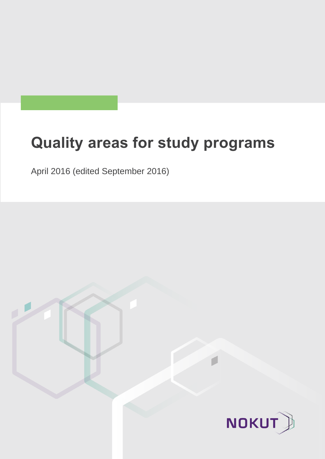# **Quality areas for study programs**

April 2016 (edited September 2016)

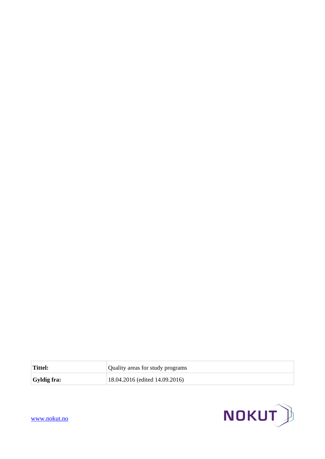

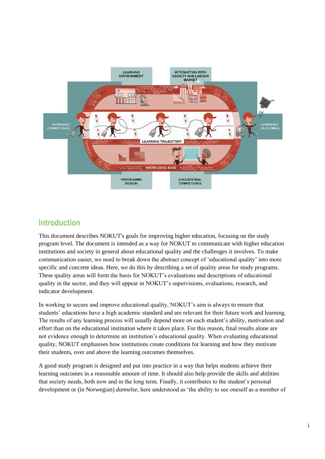

## **Introduction**

This document describes NOKUT's goals for improving higher education, focusing on the study program level. The document is intended as a way for NOKUT to communicate with higher education institutions and society in general about educational quality and the challenges it involves. To make communication easier, we need to break down the abstract concept of 'educational quality' into more specific and concrete ideas. Here, we do this by describing a set of quality areas for study programs. These quality areas will form the basis for NOKUT's evaluations and descriptions of educational quality in the sector, and they will appear in NOKUT's supervisions, evaluations, research, and indicator development.

In working to secure and improve educational quality, NOKUT's aim is always to ensure that students' educations have a high academic standard and are relevant for their future work and learning. The results of any learning process will usually depend more on each student's ability, motivation and effort than on the educational institution where it takes place. For this reason, final results alone are not evidence enough to determine an institution's educational quality. When evaluating educational quality, NOKUT emphasises how institutions create conditions for learning and how they motivate their students, over and above the learning outcomes themselves.

A good study program is designed and put into practice in a way that helps students achieve their learning outcomes in a reasonable amount of time. It should also help provide the skills and abilities that society needs, both now and in the long term. Finally, it contributes to the student's personal development or (in Norwegian) *dannelse*, here understood as 'the ability to see oneself as a member of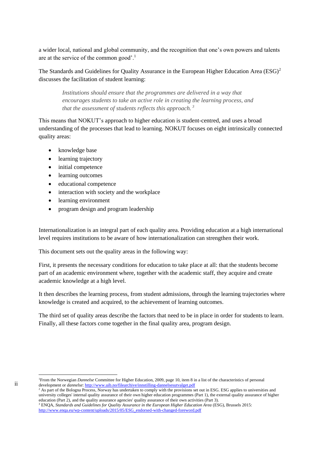a wider local, national and global community, and the recognition that one's own powers and talents are at the service of the common good'.<sup>1</sup>

The Standards and Guidelines for Quality Assurance in the European Higher Education Area (ESG)<sup>2</sup> discusses the facilitation of student learning:

*Institutions should ensure that the programmes are delivered in a way that encourages students to take an active role in creating the learning process, and that the assessment of students reflects this approach. <sup>3</sup>*

This means that NOKUT's approach to higher education is student-centred, and uses a broad understanding of the processes that lead to learning. NOKUT focuses on eight intrinsically connected quality areas:

- knowledge base
- learning trajectory
- initial competence
- learning outcomes
- educational competence
- interaction with society and the workplace
- learning environment

ii

1

• program design and program leadership

Internationalization is an integral part of each quality area. Providing education at a high international level requires institutions to be aware of how internationalization can strengthen their work.

This document sets out the quality areas in the following way:

First, it presents the necessary conditions for education to take place at all: that the students become part of an academic environment where, together with the academic staff, they acquire and create academic knowledge at a high level.

It then describes the learning process, from student admissions, through the learning trajectories where knowledge is created and acquired, to the achievement of learning outcomes.

The third set of quality areas describe the factors that need to be in place in order for students to learn. Finally, all these factors come together in the final quality area, program design.

<sup>1</sup>From the Norwegian *Dannelse* Committee for Higher Education, 2009, page 10, item 8 in a list of the characteristics of personal development or *dannelse*[: http://www.uib.no/filearchive/innstilling-dannelsesutvalget.pdf](http://www.uib.no/filearchive/innstilling-dannelsesutvalget.pdf) 

<sup>2</sup> As part of the Bologna Process, Norway has undertaken to comply with the provisions set out in ESG. ESG applies to universities and university colleges' internal quality assurance of their own higher education programmes (Part 1), the external quality assurance of higher education (Part 2), and the quality assurance agencies' quality assurance of their own activities (Part 3).

<sup>3</sup> ENQA, *Standards and Guidelines for Quality Assurance in the European Higher Education Area* (ESG), Brussels 2015: http://www.enga.eu/wp-content/uploads/2015/05/ESG\_endorsed-with-changed-foreword.pdf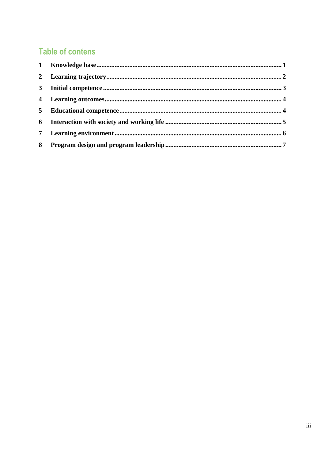# **Table of contens**

| 3 <sup>1</sup>  |  |
|-----------------|--|
|                 |  |
| 5 <sup>5</sup>  |  |
|                 |  |
| $7\phantom{.0}$ |  |
| 8               |  |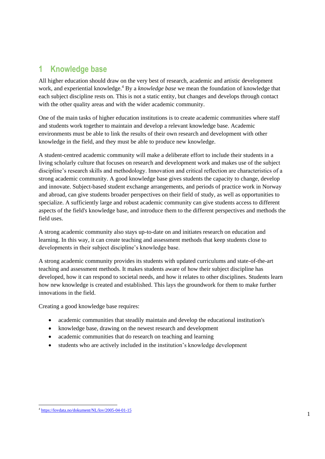## <span id="page-5-0"></span>**1 Knowledge base**

All higher education should draw on the very best of research, academic and artistic development work, and experiential knowledge.<sup>4</sup> By a *knowledge base* we mean the foundation of knowledge that each subject discipline rests on. This is not a static entity, but changes and develops through contact with the other quality areas and with the wider academic community.

One of the main tasks of higher education institutions is to create academic communities where staff and students work together to maintain and develop a relevant knowledge base. Academic environments must be able to link the results of their own research and development with other knowledge in the field, and they must be able to produce new knowledge.

A student-centred academic community will make a deliberate effort to include their students in a living scholarly culture that focuses on research and development work and makes use of the subject discipline's research skills and methodology. Innovation and critical reflection are characteristics of a strong academic community. A good knowledge base gives students the capacity to change, develop and innovate. Subject-based student exchange arrangements, and periods of practice work in Norway and abroad, can give students broader perspectives on their field of study, as well as opportunities to specialize. A sufficiently large and robust academic community can give students access to different aspects of the field's knowledge base, and introduce them to the different perspectives and methods the field uses.

A strong academic community also stays up-to-date on and initiates research on education and learning. In this way, it can create teaching and assessment methods that keep students close to developments in their subject discipline's knowledge base.

A strong academic community provides its students with updated curriculums and state-of-the-art teaching and assessment methods. It makes students aware of how their subject discipline has developed, how it can respond to societal needs, and how it relates to other disciplines. Students learn how new knowledge is created and established. This lays the groundwork for them to make further innovations in the field.

Creating a good knowledge base requires:

- academic communities that steadily maintain and develop the educational institution's
- knowledge base, drawing on the newest research and development
- academic communities that do research on teaching and learning
- students who are actively included in the institution's knowledge development

1

<sup>4</sup> <https://lovdata.no/dokument/NL/lov/2005-04-01-15>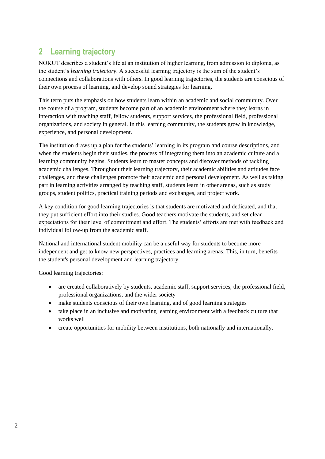# <span id="page-6-0"></span>**2 Learning trajectory**

NOKUT describes a student's life at an institution of higher learning, from admission to diploma, as the student's *learning trajectory*. A successful learning trajectory is the sum of the student's connections and collaborations with others. In good learning trajectories, the students are conscious of their own process of learning, and develop sound strategies for learning.

This term puts the emphasis on how students learn within an academic and social community. Over the course of a program, students become part of an academic environment where they learns in interaction with teaching staff, fellow students, support services, the professional field, professional organizations, and society in general. In this learning community, the students grow in knowledge, experience, and personal development.

The institution draws up a plan for the students' learning in its program and course descriptions, and when the students begin their studies, the process of integrating them into an academic culture and a learning community begins. Students learn to master concepts and discover methods of tackling academic challenges. Throughout their learning trajectory, their academic abilities and attitudes face challenges, and these challenges promote their academic and personal development. As well as taking part in learning activities arranged by teaching staff, students learn in other arenas, such as study groups, student politics, practical training periods and exchanges, and project work.

A key condition for good learning trajectories is that students are motivated and dedicated, and that they put sufficient effort into their studies. Good teachers motivate the students, and set clear expectations for their level of commitment and effort. The students' efforts are met with feedback and individual follow-up from the academic staff.

National and international student mobility can be a useful way for students to become more independent and get to know new perspectives, practices and learning arenas. This, in turn, benefits the student's personal development and learning trajectory.

Good learning trajectories:

- are created collaboratively by students, academic staff, support services, the professional field, professional organizations, and the wider society
- make students conscious of their own learning, and of good learning strategies
- take place in an inclusive and motivating learning environment with a feedback culture that works well
- create opportunities for mobility between institutions, both nationally and internationally.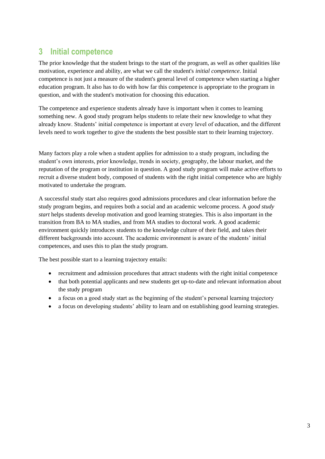# <span id="page-7-0"></span>**3 Initial competence**

The prior knowledge that the student brings to the start of the program, as well as other qualities like motivation, experience and ability, are what we call the student's *initial competence*. Initial competence is not just a measure of the student's general level of competence when starting a higher education program. It also has to do with how far this competence is appropriate to the program in question, and with the student's motivation for choosing this education.

The competence and experience students already have is important when it comes to learning something new. A good study program helps students to relate their new knowledge to what they already know. Students' initial competence is important at every level of education, and the different levels need to work together to give the students the best possible start to their learning trajectory.

Many factors play a role when a student applies for admission to a study program, including the student's own interests, prior knowledge, trends in society, geography, the labour market, and the reputation of the program or institution in question. A good study program will make active efforts to recruit a diverse student body, composed of students with the right initial competence who are highly motivated to undertake the program.

A successful study start also requires good admissions procedures and clear information before the study program begins, and requires both a social and an academic welcome process. A *good study start* helps students develop motivation and good learning strategies. This is also important in the transition from BA to MA studies, and from MA studies to doctoral work. A good academic environment quickly introduces students to the knowledge culture of their field, and takes their different backgrounds into account. The academic environment is aware of the students' initial competences, and uses this to plan the study program.

The best possible start to a learning trajectory entails:

- recruitment and admission procedures that attract students with the right initial competence
- that both potential applicants and new students get up-to-date and relevant information about the study program
- a focus on a good study start as the beginning of the student's personal learning trajectory
- a focus on developing students' ability to learn and on establishing good learning strategies.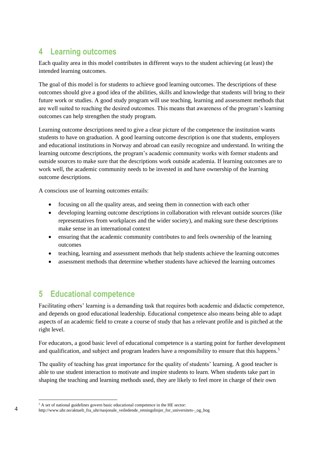#### <span id="page-8-0"></span>**4 Learning outcomes**

Each quality area in this model contributes in different ways to the student achieving (at least) the intended learning outcomes.

The goal of this model is for students to achieve good learning outcomes. The descriptions of these outcomes should give a good idea of the abilities, skills and knowledge that students will bring to their future work or studies. A good study program will use teaching, learning and assessment methods that are well suited to reaching the desired outcomes. This means that awareness of the program's learning outcomes can help strengthen the study program.

Learning outcome descriptions need to give a clear picture of the competence the institution wants students to have on graduation. A good learning outcome description is one that students, employers and educational institutions in Norway and abroad can easily recognize and understand. In writing the learning outcome descriptions, the program's academic community works with former students and outside sources to make sure that the descriptions work outside academia. If learning outcomes are to work well, the academic community needs to be invested in and have ownership of the learning outcome descriptions.

A conscious use of learning outcomes entails:

- focusing on all the quality areas, and seeing them in connection with each other
- developing learning outcome descriptions in collaboration with relevant outside sources (like representatives from workplaces and the wider society), and making sure these descriptions make sense in an international context
- ensuring that the academic community contributes to and feels ownership of the learning outcomes
- teaching, learning and assessment methods that help students achieve the learning outcomes
- assessment methods that determine whether students have achieved the learning outcomes

## <span id="page-8-1"></span>**5 Educational competence**

Facilitating others' learning is a demanding task that requires both academic and didactic competence, and depends on good educational leadership. Educational competence also means being able to adapt aspects of an academic field to create a course of study that has a relevant profile and is pitched at the right level.

For educators, a good basic level of educational competence is a starting point for further development and qualification, and subject and program leaders have a responsibility to ensure that this happens.<sup>5</sup>

The quality of teaching has great importance for the quality of students' learning. A good teacher is able to use student interaction to motivate and inspire students to learn. When students take part in shaping the teaching and learning methods used, they are likely to feel more in charge of their own

-

<sup>&</sup>lt;sup>5</sup> A set of national guidelines govern basic educational competence in the HE sector:

http://www.uhr.no/aktuelt\_fra\_uhr/nasjonale\_veiledende\_retningslinjer\_for\_universitets-\_og\_hog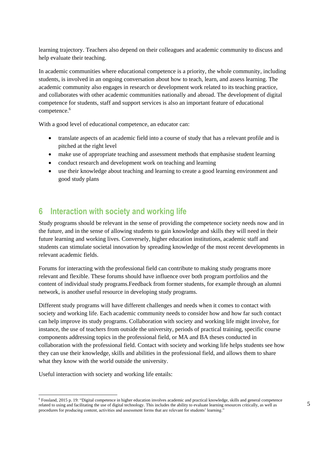learning trajectory. Teachers also depend on their colleagues and academic community to discuss and help evaluate their teaching.

In academic communities where educational competence is a priority, the whole community, including students, is involved in an ongoing conversation about how to teach, learn, and assess learning. The academic community also engages in research or development work related to its teaching practice, and collaborates with other academic communities nationally and abroad. The development of digital competence for students, staff and support services is also an important feature of educational competence.<sup>6</sup>

With a good level of educational competence, an educator can:

- translate aspects of an academic field into a course of study that has a relevant profile and is pitched at the right level
- make use of appropriate teaching and assessment methods that emphasise student learning
- conduct research and development work on teaching and learning
- use their knowledge about teaching and learning to create a good learning environment and good study plans

#### <span id="page-9-0"></span>**6 Interaction with society and working life**

Study programs should be relevant in the sense of providing the competence society needs now and in the future, and in the sense of allowing students to gain knowledge and skills they will need in their future learning and working lives. Conversely, higher education institutions, academic staff and students can stimulate societal innovation by spreading knowledge of the most recent developments in relevant academic fields.

Forums for interacting with the professional field can contribute to making study programs more relevant and flexible. These forums should have influence over both program portfolios and the content of individual study programs.Feedback from former students, for example through an alumni network, is another useful resource in developing study programs.

Different study programs will have different challenges and needs when it comes to contact with society and working life. Each academic community needs to consider how and how far such contact can help improve its study programs. Collaboration with society and working life might involve, for instance, the use of teachers from outside the university, periods of practical training, specific course components addressing topics in the professional field, or MA and BA theses conducted in collaboration with the professional field. Contact with society and working life helps students see how they can use their knowledge, skills and abilities in the professional field, and allows them to share what they know with the world outside the university.

Useful interaction with society and working life entails:

1

<sup>6</sup> Fossland, 2015 p. 19: "Digital competence in higher education involves academic and practical knowledge, skills and general competence related to using and facilitating the use of digital technology. This includes the ability to evaluate learning resources critically, as well as procedures for producing content, activities and assessment forms that are relevant for students' learning."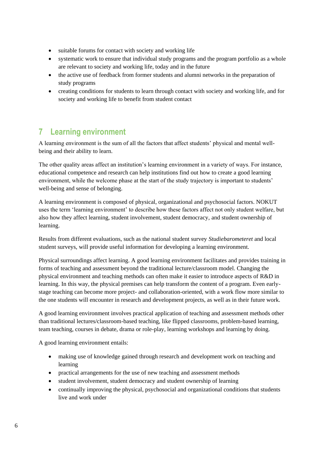- suitable forums for contact with society and working life
- systematic work to ensure that individual study programs and the program portfolio as a whole are relevant to society and working life, today and in the future
- the active use of feedback from former students and alumni networks in the preparation of study programs
- creating conditions for students to learn through contact with society and working life, and for society and working life to benefit from student contact

# <span id="page-10-0"></span>**7 Learning environment**

A learning environment is the sum of all the factors that affect students' physical and mental wellbeing and their ability to learn.

The other quality areas affect an institution's learning environment in a variety of ways. For instance, educational competence and research can help institutions find out how to create a good learning environment, while the welcome phase at the start of the study trajectory is important to students' well-being and sense of belonging.

A learning environment is composed of physical, organizational and psychosocial factors. NOKUT uses the term 'learning environment' to describe how these factors affect not only student welfare, but also how they affect learning, student involvement, student democracy, and student ownership of learning.

Results from different evaluations, such as the national student survey *Studiebarometeret* and local student surveys, will provide useful information for developing a learning environment.

Physical surroundings affect learning. A good learning environment facilitates and provides training in forms of teaching and assessment beyond the traditional lecture/classroom model. Changing the physical environment and teaching methods can often make it easier to introduce aspects of R&D in learning. In this way, the physical premises can help transform the content of a program. Even earlystage teaching can become more project- and collaboration-oriented, with a work flow more similar to the one students will encounter in research and development projects, as well as in their future work.

A good learning environment involves practical application of teaching and assessment methods other than traditional lectures/classroom-based teaching, like flipped classrooms, problem-based learning, team teaching, courses in debate, drama or role-play, learning workshops and learning by doing.

A good learning environment entails:

- making use of knowledge gained through research and development work on teaching and learning
- practical arrangements for the use of new teaching and assessment methods
- student involvement, student democracy and student ownership of learning
- continually improving the physical, psychosocial and organizational conditions that students live and work under